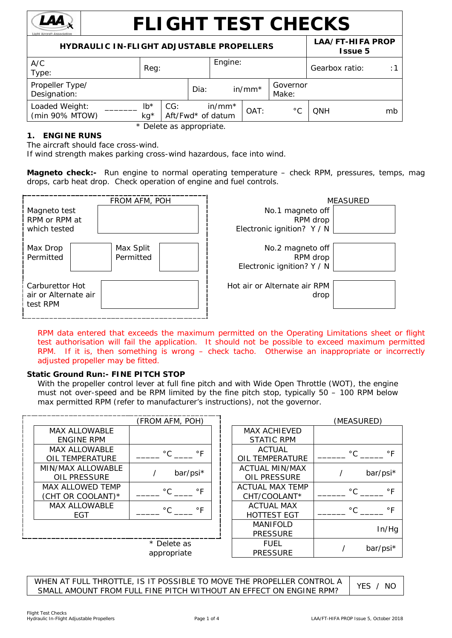

# **FLIGHT TEST CHECKS**

| <b>HYDRAULIC IN-FLIGHT ADJUSTABLE PROPELLERS</b> | LAA/FT-HIFA PROP<br><b>Issue 5</b> |     |      |                               |          |                   |                |    |
|--------------------------------------------------|------------------------------------|-----|------|-------------------------------|----------|-------------------|----------------|----|
| A/C<br>Type:                                     | Reg:                               |     |      | Engine:                       |          |                   | Gearbox ratio: | :1 |
| Propeller Type/<br>Designation:                  |                                    |     | Dia: |                               | $in/mm*$ | Governor<br>Make: |                |    |
| Loaded Weight:<br>(min 90% MTOW)                 | $lb*$<br>$kg*$                     | CG: |      | $in/mm*$<br>Aft/Fwd* of datum | OAT:     | $^{\circ}$ C      | <b>ONH</b>     | mb |

\* Delete as appropriate.

# **1. ENGINE RUNS**

The aircraft should face cross-wind.

If wind strength makes parking cross-wind hazardous, face into wind.

**Magneto check:-** Run engine to normal operating temperature – check RPM, pressures, temps, mag drops, carb heat drop. Check operation of engine and fuel controls.



*RPM data entered that exceeds the maximum permitted on the Operating Limitations sheet or flight test authorisation will fail the application.* It should not be possible to exceed maximum permitted *RPM. If it is, then something is wrong – check tacho. Otherwise an inappropriate or incorrectly adjusted propeller may be fitted.*

# **Static Ground Run:- FINE PITCH STOP**

With the propeller control lever at full fine pitch and with Wide Open Throttle (WOT), the engine must not over-speed and be RPM limited by the fine pitch stop, typically 50 – 100 RPM below max permitted RPM (refer to manufacturer's instructions), not the governor.

|                         | (FROM AFM, POH)           |                        | (MEASURED)    |           |
|-------------------------|---------------------------|------------------------|---------------|-----------|
| <b>MAX ALLOWABLE</b>    |                           | <b>MAX ACHIEVED</b>    |               |           |
| <b>ENGINE RPM</b>       |                           | <b>STATIC RPM</b>      |               |           |
| <b>MAX ALLOWABLE</b>    | $^{\circ}$ C<br>$\circ$ F | <b>ACTUAL</b>          | $^{\circ}$ C  | $\circ$ F |
| OIL TEMPERATURE         |                           | OIL TEMPERATURE        |               |           |
| MIN/MAX ALLOWABLE       | bar/psi*                  | <b>ACTUAL MIN/MAX</b>  |               | bar/psi*  |
| OIL PRESSURE            |                           | OIL PRESSURE           |               |           |
| <b>MAX ALLOWED TEMP</b> | $\circ$ F<br>$^{\circ}$ C | <b>ACTUAL MAX TEMP</b> | $^{\circ}$ C. | $\circ$ F |
| (CHT OR COOLANT)*       |                           | CHT/COOLANT*           |               |           |
| <b>MAX ALLOWABLE</b>    | $^{\circ}$ C<br>$\circ$ F | <b>ACTUAL MAX</b>      | $^{\circ}$ C. | $\circ$ F |
| <b>EGT</b>              |                           | <b>HOTTEST EGT</b>     |               |           |
|                         |                           | <b>MANIFOLD</b>        |               |           |
|                         |                           | <b>PRESSURE</b>        |               | In/Hg     |
|                         | * Delete as               | <b>FUEL</b>            |               |           |
|                         | appropriate               | <b>PRESSURE</b>        |               | bar/psi*  |

WHEN AT FULL THROTTLE, IS IT POSSIBLE TO MOVE THE PROPELLER CONTROL A WHEN AT FULL THROTTLE, IS IT POSSIBLE TO MOVE THE PROPELLER CONTROL A THES / NO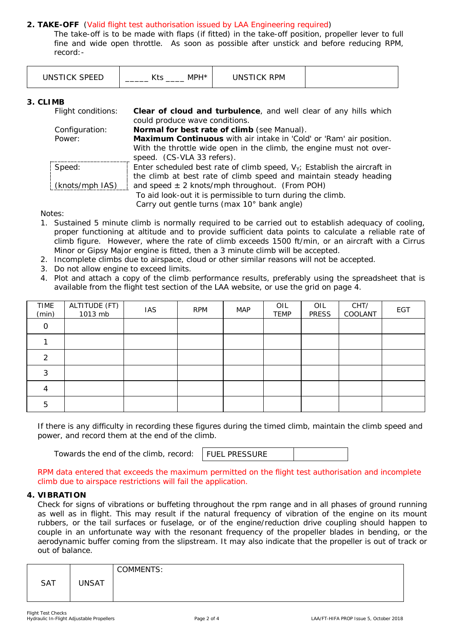# **2. TAKE-OFF** (Valid flight test authorisation issued by LAA Engineering required)

The take-off is to be made with flaps (if fitted) in the take-off position, propeller lever to full fine and wide open throttle. As soon as possible after unstick and before reducing RPM, record:-

| ___ | $\cdots$<br>.<br>ົ<br><b>VII</b> | opr.<br>INI<br>PM<br>the contract of the contract of the contract of the contract of the contract of the contract of the contract of<br>_______ |  |
|-----|----------------------------------|-------------------------------------------------------------------------------------------------------------------------------------------------|--|
|-----|----------------------------------|-------------------------------------------------------------------------------------------------------------------------------------------------|--|

## **3. CLIMB**

| Flight conditions: | Clear of cloud and turbulence, and well clear of any hills which            |
|--------------------|-----------------------------------------------------------------------------|
|                    | could produce wave conditions.                                              |
| Configuration:     | Normal for best rate of climb (see Manual).                                 |
| Power:             | Maximum Continuous with air intake in 'Cold' or 'Ram' air position.         |
|                    | With the throttle wide open in the climb, the engine must not over-         |
|                    | speed. (CS-VLA 33 refers).                                                  |
| Speed:             | Enter scheduled best rate of climb speed, $V_Y$ ; Establish the aircraft in |
|                    | the climb at best rate of climb speed and maintain steady heading           |
| (knots/mph IAS)    | and speed $\pm$ 2 knots/mph throughout. (From POH)                          |
|                    | To aid look-out it is permissible to turn during the climb.                 |
|                    | Carry out gentle turns (max 10° bank angle)                                 |

Notes:

- 1. Sustained 5 minute climb is normally required to be carried out to establish adequacy of cooling, proper functioning at altitude and to provide sufficient data points to calculate a reliable rate of climb figure. However, where the rate of climb exceeds 1500 ft/min, or an aircraft with a Cirrus Minor or Gipsy Major engine is fitted, then a 3 minute climb will be accepted.
- 2. Incomplete climbs due to airspace, cloud or other similar reasons will not be accepted.
- 3. Do not allow engine to exceed limits.
- 4. Plot and attach a copy of the climb performance results, preferably using the spreadsheet that is available from the flight test section of the LAA website, or use the grid on page 4.

| TIME<br>(min) | ALTITUDE (FT)<br>1013 mb | <b>IAS</b> | <b>RPM</b> | <b>MAP</b> | OIL<br><b>TEMP</b> | OIL<br><b>PRESS</b> | CHT/<br>COOLANT | <b>EGT</b> |
|---------------|--------------------------|------------|------------|------------|--------------------|---------------------|-----------------|------------|
| $\Omega$      |                          |            |            |            |                    |                     |                 |            |
|               |                          |            |            |            |                    |                     |                 |            |
| っ             |                          |            |            |            |                    |                     |                 |            |
| 3             |                          |            |            |            |                    |                     |                 |            |
|               |                          |            |            |            |                    |                     |                 |            |
| 5             |                          |            |            |            |                    |                     |                 |            |

If there is any difficulty in recording these figures during the timed climb, maintain the climb speed and power, and record them at the end of the climb.

Towards the end of the climb, record:

FUEL PRESSURE

RPM data entered that exceeds the maximum permitted on the flight test authorisation and incomplete climb due to airspace restrictions will fail the application.

## **4. VIBRATION**

Check for signs of vibrations or buffeting throughout the rpm range and in all phases of ground running as well as in flight. This may result if the natural frequency of vibration of the engine on its mount rubbers, or the tail surfaces or fuselage, or of the engine/reduction drive coupling should happen to couple in an unfortunate way with the resonant frequency of the propeller blades in bending, or the aerodynamic buffer coming from the slipstream. It may also indicate that the propeller is out of track or out of balance.

|     |              | <b>COMMENTS:</b> |
|-----|--------------|------------------|
| SAT | <b>UNSAT</b> |                  |
|     |              |                  |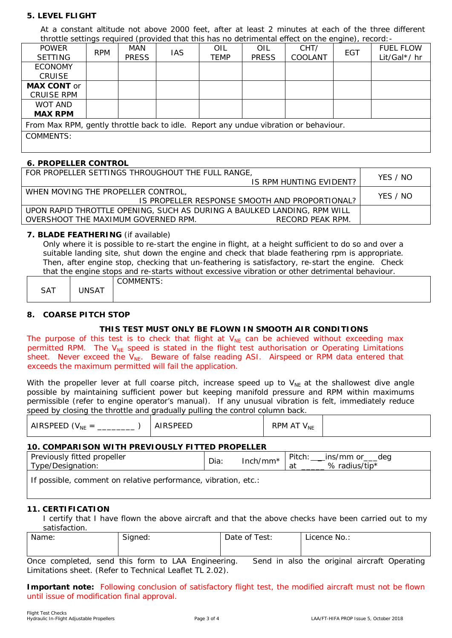# **5. LEVEL FLIGHT**

At a constant altitude not above 2000 feet, after at least 2 minutes at each of the three *different* throttle settings required (provided that this has no detrimental effect on the engine), record:-

| <b>POWER</b>                                                                         | <b>RPM</b> | MAN          | <b>IAS</b> | OIL  | OIL          | CHT/    | EGT | <b>FUEL FLOW</b> |
|--------------------------------------------------------------------------------------|------------|--------------|------------|------|--------------|---------|-----|------------------|
| <b>SETTING</b>                                                                       |            | <b>PRESS</b> |            | TEMP | <b>PRESS</b> | COOLANT |     | Lit/Gal*/ hr     |
| <b>ECONOMY</b>                                                                       |            |              |            |      |              |         |     |                  |
| <b>CRUISE</b>                                                                        |            |              |            |      |              |         |     |                  |
| <b>MAX CONT or</b>                                                                   |            |              |            |      |              |         |     |                  |
| <b>CRUISE RPM</b>                                                                    |            |              |            |      |              |         |     |                  |
| WOT AND                                                                              |            |              |            |      |              |         |     |                  |
| <b>MAX RPM</b>                                                                       |            |              |            |      |              |         |     |                  |
| From Max RPM, gently throttle back to idle. Report any undue vibration or behaviour. |            |              |            |      |              |         |     |                  |
| COMMENTS:                                                                            |            |              |            |      |              |         |     |                  |
|                                                                                      |            |              |            |      |              |         |     |                  |

#### **6. PROPELLER CONTROL**

| FOR PROPELLER SETTINGS THROUGHOUT THE FULL RANGE,<br>IS RPM HUNTING EVIDENT?                                                       | YES / NO |
|------------------------------------------------------------------------------------------------------------------------------------|----------|
| WHEN MOVING THE PROPELLER CONTROL.<br>IS PROPELLER RESPONSE SMOOTH AND PROPORTIONAL?                                               | YES / NO |
| UPON RAPID THROTTLE OPENING. SUCH AS DURING A BAULKED LANDING. RPM WILL<br>OVERSHOOT THE MAXIMUM GOVERNED RPM.<br>RECORD PEAK RPM. |          |

#### **7. BLADE FEATHERING** (if available)

Only where it is possible to re-start the engine in flight, at a height sufficient to do so and over a suitable landing site, shut down the engine and check that blade feathering rpm is appropriate. Then, after engine stop, checking that un-feathering is satisfactory, re-start the engine. Check that the engine stops and re-starts without excessive vibration or other detrimental behaviour.

|            |              | <b>COMMENTS:</b> |
|------------|--------------|------------------|
| <b>SAT</b> | <b>JNSAT</b> |                  |
|            |              |                  |

## **8. COARSE PITCH STOP**

## **THIS TEST MUST ONLY BE FLOWN IN SMOOTH AIR CONDITIONS**

The purpose of this test is to check that flight at  $V_{NE}$  can be achieved without exceeding max permitted RPM. The  $V_{NE}$  speed is stated in the flight test authorisation or Operating Limitations sheet. Never exceed the  $V_{NE}$ . Beware of false reading ASI. Airspeed or RPM data entered that exceeds the maximum permitted will fail the application.

With the propeller lever at full coarse pitch, increase speed up to  $V_{NE}$  at the shallowest dive angle possible by maintaining sufficient power but keeping manifold pressure and RPM within maximums permissible (refer to engine operator's manual). If any unusual vibration is felt, immediately reduce speed by closing the throttle and gradually pulling the control column back.

| AIRSPEED ( $V_{NF}$ =<br>1 Y L | <b>AIRSPEED</b> | RPM AT V <sub>NE</sub> |  |
|--------------------------------|-----------------|------------------------|--|
|--------------------------------|-----------------|------------------------|--|

## **10. COMPARISON WITH PREVIOUSLY FITTED PROPELLER**

| titted propeller !<br><b>Previously</b><br>/Designation:<br>vpe/L | Dia: | /mm*<br>ncr | $. \, \mathrm{J}$ . $\cdot$<br>1 W 1<br>a1 | dea<br>mm<br>$\sim$<br>וש<br>radius/tip*<br>℅ |  |
|-------------------------------------------------------------------|------|-------------|--------------------------------------------|-----------------------------------------------|--|
|                                                                   |      |             |                                            |                                               |  |

If possible, comment on relative performance, vibration, etc.:

#### **11. CERTIFICATION**

I certify that I have flown the above aircraft and that the above checks have been carried out to my satisfaction.

| Name:              | Signed:                     | Date of Test:           | Licence No.:                                |
|--------------------|-----------------------------|-------------------------|---------------------------------------------|
|                    |                             |                         |                                             |
| Once<br>completed. | LAA<br>send this<br>form to | Send in<br>Engineering. | also the <i>original</i> aircraft Operating |

Once completed, send this form to LAA Engineering. Send in also the *original* aircraft Operating Limitations sheet. (Refer to Technical Leaflet TL 2.02).

**Important note:** Following conclusion of satisfactory flight test, the modified aircraft must not be flown until issue of modification final approval.